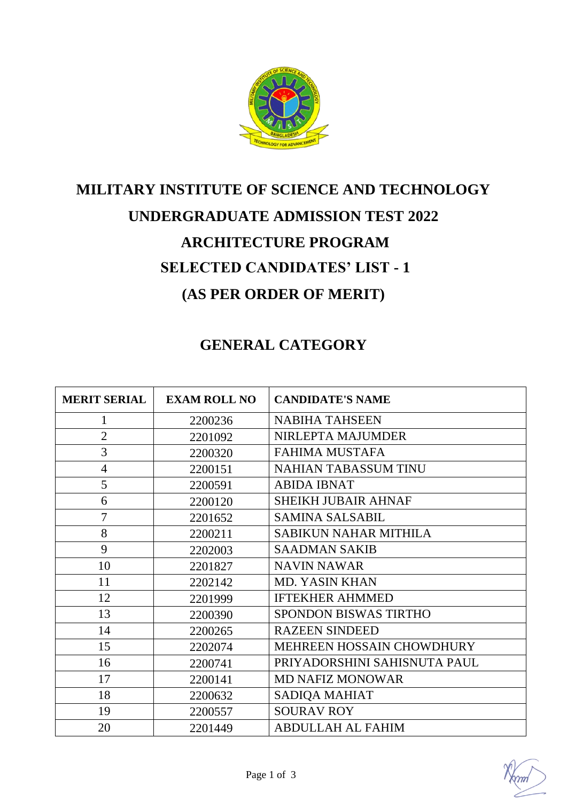

# **MILITARY INSTITUTE OF SCIENCE AND TECHNOLOGY UNDERGRADUATE ADMISSION TEST 2022 ARCHITECTURE PROGRAM SELECTED CANDIDATES' LIST - 1 (AS PER ORDER OF MERIT)**

## **GENERAL CATEGORY**

| <b>MERIT SERIAL</b> | <b>EXAM ROLL NO</b> | <b>CANDIDATE'S NAME</b>      |
|---------------------|---------------------|------------------------------|
| 1                   | 2200236             | <b>NABIHA TAHSEEN</b>        |
| $\overline{2}$      | 2201092             | NIRLEPTA MAJUMDER            |
| 3                   | 2200320             | <b>FAHIMA MUSTAFA</b>        |
| $\overline{4}$      | 2200151             | <b>NAHIAN TABASSUM TINU</b>  |
| 5                   | 2200591             | <b>ABIDA IBNAT</b>           |
| 6                   | 2200120             | <b>SHEIKH JUBAIR AHNAF</b>   |
| $\overline{7}$      | 2201652             | <b>SAMINA SALSABIL</b>       |
| 8                   | 2200211             | <b>SABIKUN NAHAR MITHILA</b> |
| 9                   | 2202003             | <b>SAADMAN SAKIB</b>         |
| 10                  | 2201827             | <b>NAVIN NAWAR</b>           |
| 11                  | 2202142             | <b>MD. YASIN KHAN</b>        |
| 12                  | 2201999             | <b>IFTEKHER AHMMED</b>       |
| 13                  | 2200390             | <b>SPONDON BISWAS TIRTHO</b> |
| 14                  | 2200265             | <b>RAZEEN SINDEED</b>        |
| 15                  | 2202074             | MEHREEN HOSSAIN CHOWDHURY    |
| 16                  | 2200741             | PRIYADORSHINI SAHISNUTA PAUL |
| 17                  | 2200141             | <b>MD NAFIZ MONOWAR</b>      |
| 18                  | 2200632             | SADIQA MAHIAT                |
| 19                  | 2200557             | <b>SOURAV ROY</b>            |
| 20                  | 2201449             | <b>ABDULLAH AL FAHIM</b>     |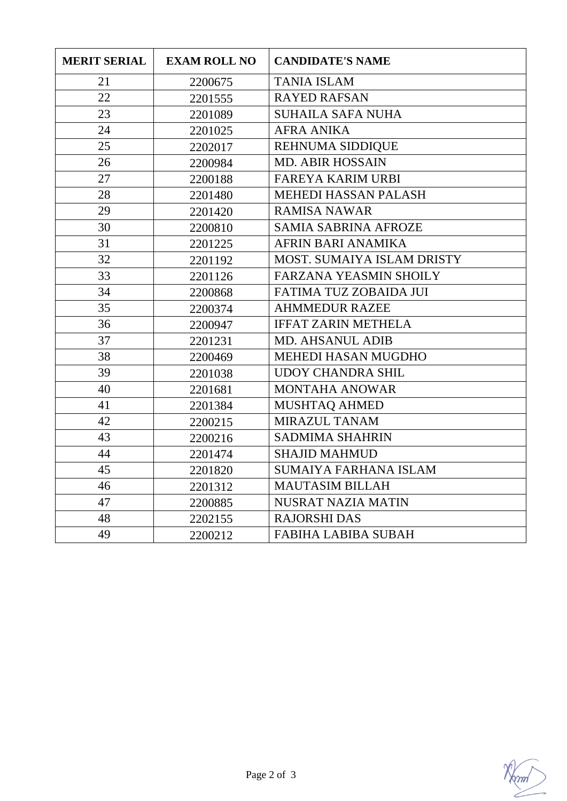| <b>MERIT SERIAL</b> | <b>EXAM ROLL NO</b> | <b>CANDIDATE'S NAME</b>       |
|---------------------|---------------------|-------------------------------|
| 21                  | 2200675             | <b>TANIA ISLAM</b>            |
| 22                  | 2201555             | <b>RAYED RAFSAN</b>           |
| 23                  | 2201089             | <b>SUHAILA SAFA NUHA</b>      |
| 24                  | 2201025             | <b>AFRA ANIKA</b>             |
| 25                  | 2202017             | <b>REHNUMA SIDDIQUE</b>       |
| 26                  | 2200984             | <b>MD. ABIR HOSSAIN</b>       |
| 27                  | 2200188             | <b>FAREYA KARIM URBI</b>      |
| 28                  | 2201480             | <b>MEHEDI HASSAN PALASH</b>   |
| 29                  | 2201420             | <b>RAMISA NAWAR</b>           |
| 30                  | 2200810             | <b>SAMIA SABRINA AFROZE</b>   |
| 31                  | 2201225             | AFRIN BARI ANAMIKA            |
| 32                  | 2201192             | MOST. SUMAIYA ISLAM DRISTY    |
| 33                  | 2201126             | <b>FARZANA YEASMIN SHOILY</b> |
| 34                  | 2200868             | FATIMA TUZ ZOBAIDA JUI        |
| 35                  | 2200374             | <b>AHMMEDUR RAZEE</b>         |
| 36                  | 2200947             | <b>IFFAT ZARIN METHELA</b>    |
| 37                  | 2201231             | <b>MD. AHSANUL ADIB</b>       |
| 38                  | 2200469             | MEHEDI HASAN MUGDHO           |
| 39                  | 2201038             | <b>UDOY CHANDRA SHIL</b>      |
| 40                  | 2201681             | <b>MONTAHA ANOWAR</b>         |
| 41                  | 2201384             | MUSHTAQ AHMED                 |
| 42                  | 2200215             | <b>MIRAZUL TANAM</b>          |
| 43                  | 2200216             | <b>SADMIMA SHAHRIN</b>        |
| 44                  | 2201474             | <b>SHAJID MAHMUD</b>          |
| 45                  | 2201820             | <b>SUMAIYA FARHANA ISLAM</b>  |
| 46                  | 2201312             | <b>MAUTASIM BILLAH</b>        |
| 47                  | 2200885             | NUSRAT NAZIA MATIN            |
| 48                  | 2202155             | <b>RAJORSHI DAS</b>           |
| 49                  | 2200212             | <b>FABIHA LABIBA SUBAH</b>    |

Norm